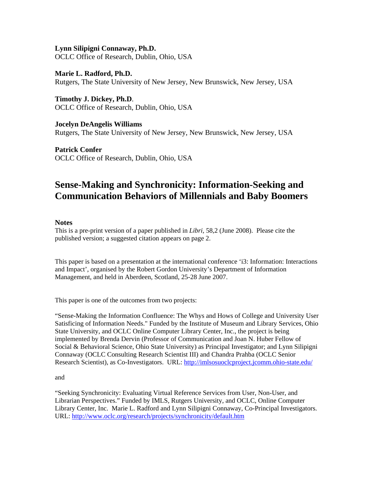**Lynn Silipigni Connaway, Ph.D.**  OCLC Office of Research, Dublin, Ohio, USA

**Marie L. Radford, Ph.D.**  Rutgers, The State University of New Jersey, New Brunswick, New Jersey, USA

**Timothy J. Dickey, Ph.D**. OCLC Office of Research, Dublin, Ohio, USA

**Jocelyn DeAngelis Williams**  Rutgers, The State University of New Jersey, New Brunswick, New Jersey, USA

**Patrick Confer**  OCLC Office of Research, Dublin, Ohio, USA

# **Sense-Making and Synchronicity: Information-Seeking and Communication Behaviors of Millennials and Baby Boomers**

# **Notes**

This is a pre-print version of a paper published in *Libri,* 58,2 (June 2008). Please cite the published version; a suggested citation appears on page 2.

This paper is based on a presentation at the international conference 'i3: Information: Interactions and Impact', organised by the Robert Gordon University's Department of Information Management, and held in Aberdeen, Scotland, 25-28 June 2007.

This paper is one of the outcomes from two projects:

"Sense-Making the Information Confluence: The Whys and Hows of College and University User Satisficing of Information Needs." Funded by the Institute of Museum and Library Services, Ohio State University, and OCLC Online Computer Library Center, Inc., the project is being implemented by Brenda Dervin (Professor of Communication and Joan N. Huber Fellow of Social & Behavioral Science, Ohio State University) as Principal Investigator; and Lynn Silipigni Connaway (OCLC Consulting Research Scientist III) and Chandra Prahba (OCLC Senior Research Scientist), as Co-Investigators. URL:<http://imlsosuoclcproject.jcomm.ohio-state.edu/>

and

"Seeking Synchronicity: Evaluating Virtual Reference Services from User, Non-User, and Librarian Perspectives." Funded by IMLS, Rutgers University, and OCLC, Online Computer Library Center, Inc. Marie L. Radford and Lynn Silipigni Connaway, Co-Principal Investigators. URL: <http://www.oclc.org/research/projects/synchronicity/default.htm>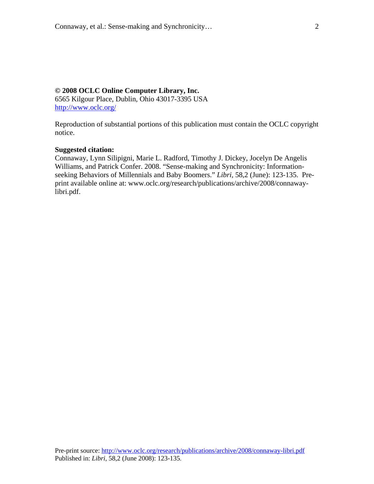# **© 2008 OCLC Online Computer Library, Inc.**

6565 Kilgour Place, Dublin, Ohio 43017-3395 USA <http://www.oclc.org/>

Reproduction of substantial portions of this publication must contain the OCLC copyright notice.

## **Suggested citation:**

Connaway, Lynn Silipigni, Marie L. Radford, Timothy J. Dickey, Jocelyn De Angelis Williams, and Patrick Confer. 2008. "Sense-making and Synchronicity: Informationseeking Behaviors of Millennials and Baby Boomers." *Libri,* 58,2 (June): 123-135. Preprint available online at: www.oclc.org/research/publications/archive/2008/connawaylibri.pdf.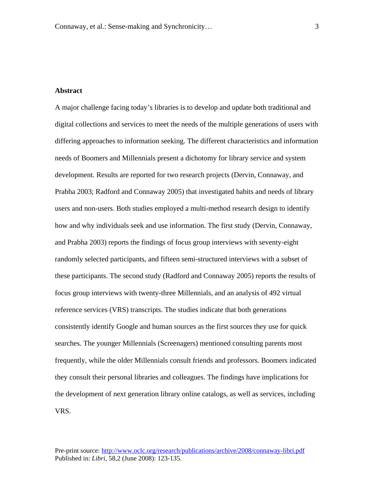## **Abstract**

A major challenge facing today's libraries is to develop and update both traditional and digital collections and services to meet the needs of the multiple generations of users with differing approaches to information seeking. The different characteristics and information needs of Boomers and Millennials present a dichotomy for library service and system development. Results are reported for two research projects (Dervin, Connaway, and Prabha 2003; Radford and Connaway 2005) that investigated habits and needs of library users and non-users. Both studies employed a multi-method research design to identify how and why individuals seek and use information. The first study (Dervin, Connaway, and Prabha 2003) reports the findings of focus group interviews with seventy-eight randomly selected participants, and fifteen semi-structured interviews with a subset of these participants. The second study (Radford and Connaway 2005) reports the results of focus group interviews with twenty-three Millennials, and an analysis of 492 virtual reference services (VRS) transcripts. The studies indicate that both generations consistently identify Google and human sources as the first sources they use for quick searches. The younger Millennials (Screenagers) mentioned consulting parents most frequently, while the older Millennials consult friends and professors. Boomers indicated they consult their personal libraries and colleagues. The findings have implications for the development of next generation library online catalogs, as well as services, including VRS.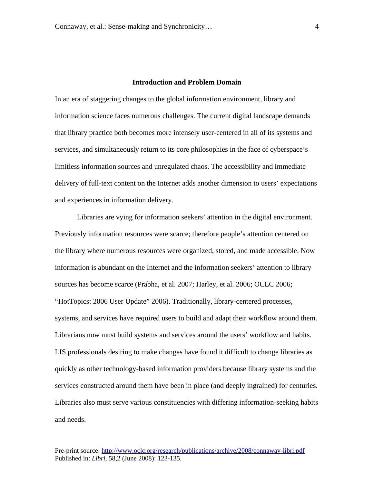# **Introduction and Problem Domain**

In an era of staggering changes to the global information environment, library and information science faces numerous challenges. The current digital landscape demands that library practice both becomes more intensely user-centered in all of its systems and services, and simultaneously return to its core philosophies in the face of cyberspace's limitless information sources and unregulated chaos. The accessibility and immediate delivery of full-text content on the Internet adds another dimension to users' expectations and experiences in information delivery.

Libraries are vying for information seekers' attention in the digital environment. Previously information resources were scarce; therefore people's attention centered on the library where numerous resources were organized, stored, and made accessible. Now information is abundant on the Internet and the information seekers' attention to library sources has become scarce (Prabha, et al. 2007; Harley, et al. 2006; OCLC 2006; "HotTopics: 2006 User Update" 2006). Traditionally, library-centered processes, systems, and services have required users to build and adapt their workflow around them. Librarians now must build systems and services around the users' workflow and habits. LIS professionals desiring to make changes have found it difficult to change libraries as quickly as other technology-based information providers because library systems and the services constructed around them have been in place (and deeply ingrained) for centuries. Libraries also must serve various constituencies with differing information-seeking habits and needs.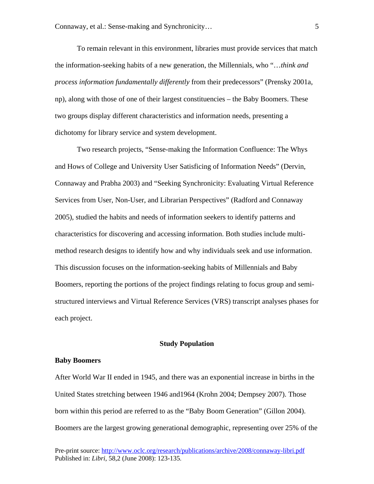To remain relevant in this environment, libraries must provide services that match the information-seeking habits of a new generation, the Millennials, who "…*think and process information fundamentally differently* from their predecessors" (Prensky 2001a, np), along with those of one of their largest constituencies – the Baby Boomers. These two groups display different characteristics and information needs, presenting a dichotomy for library service and system development.

Two research projects, "Sense-making the Information Confluence: The Whys and Hows of College and University User Satisficing of Information Needs" (Dervin, Connaway and Prabha 2003) and "Seeking Synchronicity: Evaluating Virtual Reference Services from User, Non-User, and Librarian Perspectives" (Radford and Connaway 2005), studied the habits and needs of information seekers to identify patterns and characteristics for discovering and accessing information. Both studies include multimethod research designs to identify how and why individuals seek and use information. This discussion focuses on the information-seeking habits of Millennials and Baby Boomers, reporting the portions of the project findings relating to focus group and semistructured interviews and Virtual Reference Services (VRS) transcript analyses phases for each project.

## **Study Population**

#### **Baby Boomers**

After World War II ended in 1945, and there was an exponential increase in births in the United States stretching between 1946 and1964 (Krohn 2004; Dempsey 2007). Those born within this period are referred to as the "Baby Boom Generation" (Gillon 2004). Boomers are the largest growing generational demographic, representing over 25% of the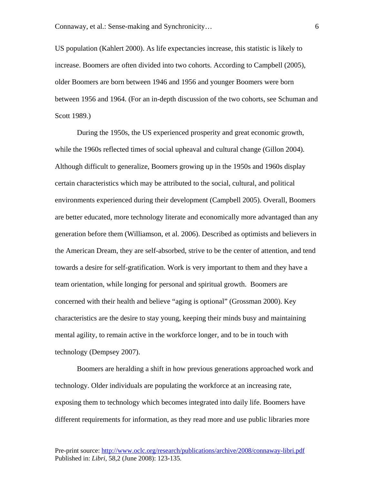US population (Kahlert 2000). As life expectancies increase, this statistic is likely to increase. Boomers are often divided into two cohorts. According to Campbell (2005), older Boomers are born between 1946 and 1956 and younger Boomers were born between 1956 and 1964. (For an in-depth discussion of the two cohorts, see Schuman and Scott 1989.)

During the 1950s, the US experienced prosperity and great economic growth, while the 1960s reflected times of social upheaval and cultural change (Gillon 2004). Although difficult to generalize, Boomers growing up in the 1950s and 1960s display certain characteristics which may be attributed to the social, cultural, and political environments experienced during their development (Campbell 2005). Overall, Boomers are better educated, more technology literate and economically more advantaged than any generation before them (Williamson, et al. 2006). Described as optimists and believers in the American Dream, they are self-absorbed, strive to be the center of attention, and tend towards a desire for self-gratification. Work is very important to them and they have a team orientation, while longing for personal and spiritual growth. Boomers are concerned with their health and believe "aging is optional" (Grossman 2000). Key characteristics are the desire to stay young, keeping their minds busy and maintaining mental agility, to remain active in the workforce longer, and to be in touch with technology (Dempsey 2007).

Boomers are heralding a shift in how previous generations approached work and technology. Older individuals are populating the workforce at an increasing rate, exposing them to technology which becomes integrated into daily life. Boomers have different requirements for information, as they read more and use public libraries more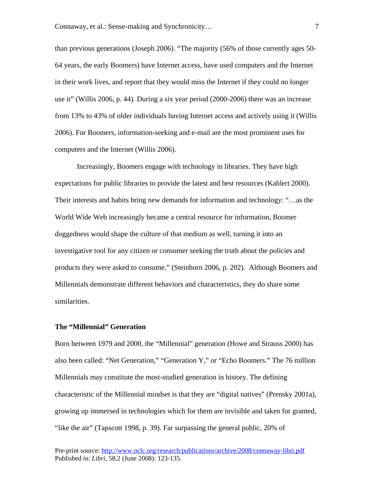than previous generations (Joseph 2006). "The majority (56% of those currently ages 50- 64 years, the early Boomers) have Internet access, have used computers and the Internet in their work lives, and report that they would miss the Internet if they could no longer use it" (Willis 2006, p. 44). During a six year period (2000-2006) there was an increase from 13% to 43% of older individuals having Internet access and actively using it (Willis 2006). For Boomers, information-seeking and e-mail are the most prominent uses for computers and the Internet (Willis 2006).

Increasingly, Boomers engage with technology in libraries. They have high expectations for public libraries to provide the latest and best resources (Kahlert 2000). Their interests and habits bring new demands for information and technology: "…as the World Wide Web increasingly became a central resource for information, Boomer doggedness would shape the culture of that medium as well, turning it into an investigative tool for any citizen or consumer seeking the truth about the policies and products they were asked to consume." (Steinhorn 2006, p. 202). Although Boomers and Millennials demonstrate different behaviors and characteristics, they do share some similarities.

## **The "Millennial" Generation**

Born between 1979 and 2000, the "Millennial" generation (Howe and Strauss 2000) has also been called: "Net Generation," "Generation Y," or "Echo Boomers." The 76 million Millennials may constitute the most-studied generation in history. The defining characteristic of the Millennial mindset is that they are "digital natives" (Prensky 2001a), growing up immersed in technologies which for them are invisible and taken for granted, "like the air" (Tapscott 1998, p. 39). Far surpassing the general public, 20% of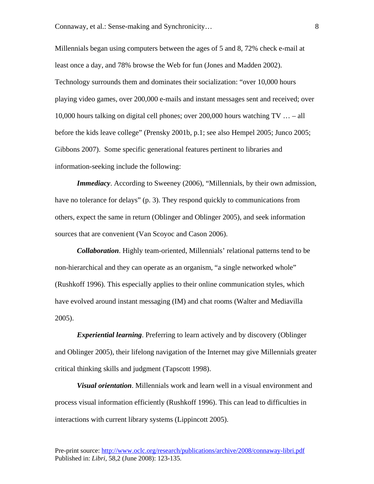Millennials began using computers between the ages of 5 and 8, 72% check e-mail at least once a day, and 78% browse the Web for fun (Jones and Madden 2002). Technology surrounds them and dominates their socialization: "over 10,000 hours playing video games, over 200,000 e-mails and instant messages sent and received; over 10,000 hours talking on digital cell phones; over 200,000 hours watching TV … – all before the kids leave college" (Prensky 2001b, p.1; see also Hempel 2005; Junco 2005; Gibbons 2007). Some specific generational features pertinent to libraries and information-seeking include the following:

*Immediacy*. According to Sweeney (2006), "Millennials, by their own admission, have no tolerance for delays" (p. 3). They respond quickly to communications from others, expect the same in return (Oblinger and Oblinger 2005), and seek information sources that are convenient (Van Scoyoc and Cason 2006).

*Collaboration*. Highly team-oriented, Millennials' relational patterns tend to be non-hierarchical and they can operate as an organism, "a single networked whole" (Rushkoff 1996). This especially applies to their online communication styles, which have evolved around instant messaging (IM) and chat rooms (Walter and Mediavilla 2005).

*Experiential learning*. Preferring to learn actively and by discovery (Oblinger and Oblinger 2005), their lifelong navigation of the Internet may give Millennials greater critical thinking skills and judgment (Tapscott 1998).

*Visual orientation*. Millennials work and learn well in a visual environment and process visual information efficiently (Rushkoff 1996). This can lead to difficulties in interactions with current library systems (Lippincott 2005).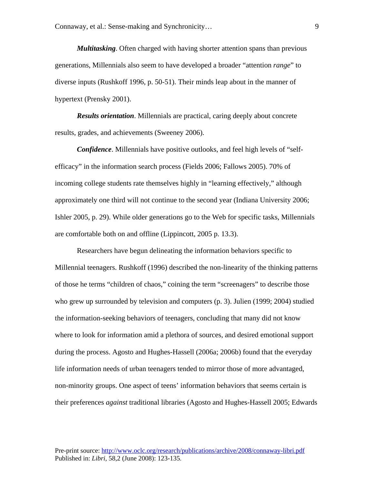*Multitasking*. Often charged with having shorter attention spans than previous generations, Millennials also seem to have developed a broader "attention *range*" to diverse inputs (Rushkoff 1996, p. 50-51). Their minds leap about in the manner of hypertext (Prensky 2001).

*Results orientation*. Millennials are practical, caring deeply about concrete results, grades, and achievements (Sweeney 2006).

*Confidence*. Millennials have positive outlooks, and feel high levels of "selfefficacy" in the information search process (Fields 2006; Fallows 2005). 70% of incoming college students rate themselves highly in "learning effectively," although approximately one third will not continue to the second year (Indiana University 2006; Ishler 2005, p. 29). While older generations go to the Web for specific tasks, Millennials are comfortable both on and offline (Lippincott, 2005 p. 13.3).

 Researchers have begun delineating the information behaviors specific to Millennial teenagers. Rushkoff (1996) described the non-linearity of the thinking patterns of those he terms "children of chaos," coining the term "screenagers" to describe those who grew up surrounded by television and computers (p. 3). Julien (1999; 2004) studied the information-seeking behaviors of teenagers, concluding that many did not know where to look for information amid a plethora of sources, and desired emotional support during the process. Agosto and Hughes-Hassell (2006a; 2006b) found that the everyday life information needs of urban teenagers tended to mirror those of more advantaged, non-minority groups. One aspect of teens' information behaviors that seems certain is their preferences *against* traditional libraries (Agosto and Hughes-Hassell 2005; Edwards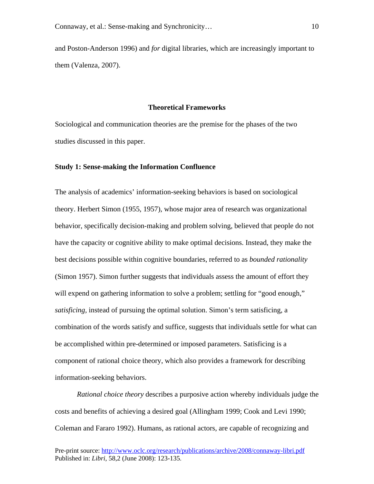and Poston-Anderson 1996) and *for* digital libraries, which are increasingly important to them (Valenza, 2007).

## **Theoretical Frameworks**

Sociological and communication theories are the premise for the phases of the two studies discussed in this paper.

## **Study 1: Sense-making the Information Confluence**

The analysis of academics' information-seeking behaviors is based on sociological theory. Herbert Simon (1955, 1957), whose major area of research was organizational behavior, specifically decision-making and problem solving, believed that people do not have the capacity or cognitive ability to make optimal decisions. Instead, they make the best decisions possible within cognitive boundaries, referred to as *bounded rationality* (Simon 1957). Simon further suggests that individuals assess the amount of effort they will expend on gathering information to solve a problem; settling for "good enough," *satisficing,* instead of pursuing the optimal solution. Simon's term satisficing, a combination of the words satisfy and suffice, suggests that individuals settle for what can be accomplished within pre-determined or imposed parameters. Satisficing is a component of rational choice theory, which also provides a framework for describing information-seeking behaviors.

*Rational choice theory* describes a purposive action whereby individuals judge the costs and benefits of achieving a desired goal (Allingham 1999; Cook and Levi 1990; Coleman and Fararo 1992). Humans, as rational actors, are capable of recognizing and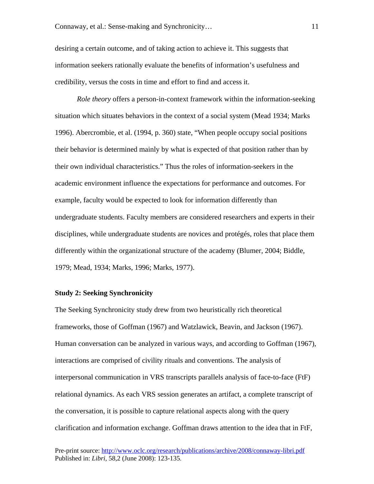desiring a certain outcome, and of taking action to achieve it. This suggests that information seekers rationally evaluate the benefits of information's usefulness and credibility, versus the costs in time and effort to find and access it.

*Role theory* offers a person-in-context framework within the information-seeking situation which situates behaviors in the context of a social system (Mead 1934; Marks 1996). Abercrombie, et al. (1994, p. 360) state, "When people occupy social positions their behavior is determined mainly by what is expected of that position rather than by their own individual characteristics." Thus the roles of information-seekers in the academic environment influence the expectations for performance and outcomes. For example, faculty would be expected to look for information differently than undergraduate students. Faculty members are considered researchers and experts in their disciplines, while undergraduate students are novices and protégés, roles that place them differently within the organizational structure of the academy (Blumer, 2004; Biddle, 1979; Mead, 1934; Marks, 1996; Marks, 1977).

## **Study 2: Seeking Synchronicity**

The Seeking Synchronicity study drew from two heuristically rich theoretical frameworks, those of Goffman (1967) and Watzlawick, Beavin, and Jackson (1967). Human conversation can be analyzed in various ways, and according to Goffman (1967), interactions are comprised of civility rituals and conventions. The analysis of interpersonal communication in VRS transcripts parallels analysis of face-to-face (FtF) relational dynamics. As each VRS session generates an artifact, a complete transcript of the conversation, it is possible to capture relational aspects along with the query clarification and information exchange. Goffman draws attention to the idea that in FtF,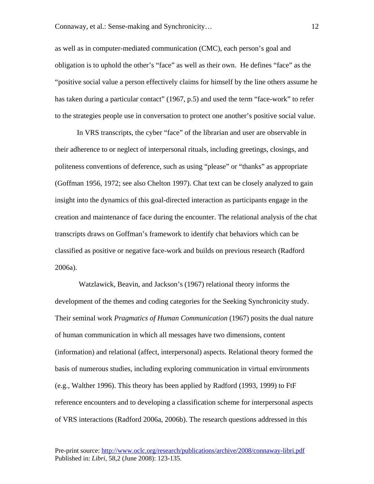as well as in computer-mediated communication (CMC), each person's goal and obligation is to uphold the other's "face" as well as their own. He defines "face" as the "positive social value a person effectively claims for himself by the line others assume he has taken during a particular contact" (1967, p.5) and used the term "face-work" to refer to the strategies people use in conversation to protect one another's positive social value.

In VRS transcripts, the cyber "face" of the librarian and user are observable in their adherence to or neglect of interpersonal rituals, including greetings, closings, and politeness conventions of deference, such as using "please" or "thanks" as appropriate (Goffman 1956, 1972; see also Chelton 1997). Chat text can be closely analyzed to gain insight into the dynamics of this goal-directed interaction as participants engage in the creation and maintenance of face during the encounter. The relational analysis of the chat transcripts draws on Goffman's framework to identify chat behaviors which can be classified as positive or negative face-work and builds on previous research (Radford 2006a).

 Watzlawick, Beavin, and Jackson's (1967) relational theory informs the development of the themes and coding categories for the Seeking Synchronicity study. Their seminal work *Pragmatics of Human Communication* (1967) posits the dual nature of human communication in which all messages have two dimensions, content (information) and relational (affect, interpersonal) aspects. Relational theory formed the basis of numerous studies, including exploring communication in virtual environments (e.g., Walther 1996). This theory has been applied by Radford (1993, 1999) to FtF reference encounters and to developing a classification scheme for interpersonal aspects of VRS interactions (Radford 2006a, 2006b). The research questions addressed in this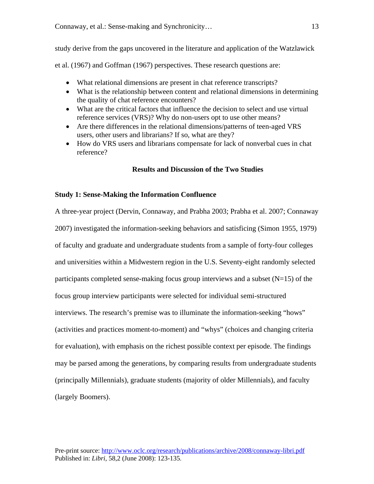study derive from the gaps uncovered in the literature and application of the Watzlawick

et al. (1967) and Goffman (1967) perspectives. These research questions are:

- What relational dimensions are present in chat reference transcripts?
- What is the relationship between content and relational dimensions in determining the quality of chat reference encounters?
- What are the critical factors that influence the decision to select and use virtual reference services (VRS)? Why do non-users opt to use other means?
- Are there differences in the relational dimensions/patterns of teen-aged VRS users, other users and librarians? If so, what are they?
- How do VRS users and librarians compensate for lack of nonverbal cues in chat reference?

# **Results and Discussion of the Two Studies**

# **Study 1: Sense-Making the Information Confluence**

A three-year project (Dervin, Connaway, and Prabha 2003; Prabha et al. 2007; Connaway 2007) investigated the information-seeking behaviors and satisficing (Simon 1955, 1979) of faculty and graduate and undergraduate students from a sample of forty-four colleges and universities within a Midwestern region in the U.S. Seventy-eight randomly selected participants completed sense-making focus group interviews and a subset  $(N=15)$  of the focus group interview participants were selected for individual semi-structured interviews. The research's premise was to illuminate the information-seeking "hows" (activities and practices moment-to-moment) and "whys" (choices and changing criteria for evaluation), with emphasis on the richest possible context per episode. The findings may be parsed among the generations, by comparing results from undergraduate students (principally Millennials), graduate students (majority of older Millennials), and faculty (largely Boomers).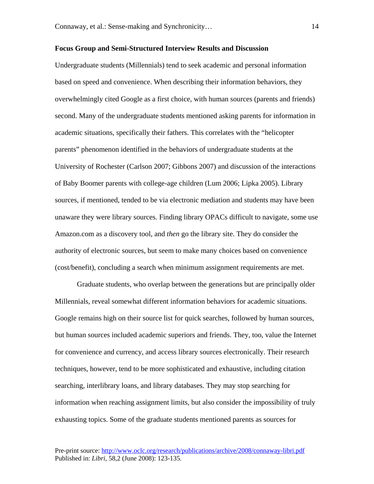## **Focus Group and Semi-Structured Interview Results and Discussion**

Undergraduate students (Millennials) tend to seek academic and personal information based on speed and convenience. When describing their information behaviors, they overwhelmingly cited Google as a first choice, with human sources (parents and friends) second. Many of the undergraduate students mentioned asking parents for information in academic situations, specifically their fathers. This correlates with the "helicopter parents" phenomenon identified in the behaviors of undergraduate students at the University of Rochester (Carlson 2007; Gibbons 2007) and discussion of the interactions of Baby Boomer parents with college-age children (Lum 2006; Lipka 2005). Library sources, if mentioned, tended to be via electronic mediation and students may have been unaware they were library sources. Finding library OPACs difficult to navigate, some use Amazon.com as a discovery tool, and *then* go the library site. They do consider the authority of electronic sources, but seem to make many choices based on convenience (cost/benefit), concluding a search when minimum assignment requirements are met.

Graduate students, who overlap between the generations but are principally older Millennials, reveal somewhat different information behaviors for academic situations. Google remains high on their source list for quick searches, followed by human sources, but human sources included academic superiors and friends. They, too, value the Internet for convenience and currency, and access library sources electronically. Their research techniques, however, tend to be more sophisticated and exhaustive, including citation searching, interlibrary loans, and library databases. They may stop searching for information when reaching assignment limits, but also consider the impossibility of truly exhausting topics. Some of the graduate students mentioned parents as sources for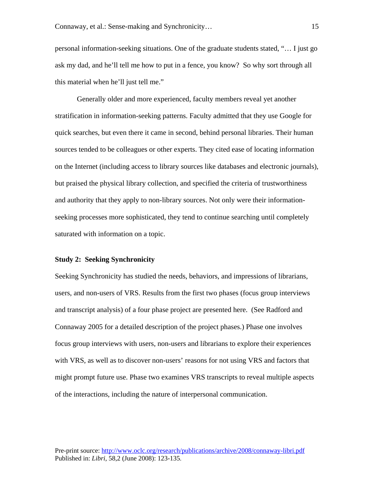personal information-seeking situations. One of the graduate students stated, "… I just go ask my dad, and he'll tell me how to put in a fence, you know? So why sort through all this material when he'll just tell me."

Generally older and more experienced, faculty members reveal yet another stratification in information-seeking patterns. Faculty admitted that they use Google for quick searches, but even there it came in second, behind personal libraries. Their human sources tended to be colleagues or other experts. They cited ease of locating information on the Internet (including access to library sources like databases and electronic journals), but praised the physical library collection, and specified the criteria of trustworthiness and authority that they apply to non-library sources. Not only were their informationseeking processes more sophisticated, they tend to continue searching until completely saturated with information on a topic.

#### **Study 2: Seeking Synchronicity**

Seeking Synchronicity has studied the needs, behaviors, and impressions of librarians, users, and non-users of VRS. Results from the first two phases (focus group interviews and transcript analysis) of a four phase project are presented here. (See Radford and Connaway 2005 for a detailed description of the project phases.) Phase one involves focus group interviews with users, non-users and librarians to explore their experiences with VRS, as well as to discover non-users' reasons for not using VRS and factors that might prompt future use. Phase two examines VRS transcripts to reveal multiple aspects of the interactions, including the nature of interpersonal communication.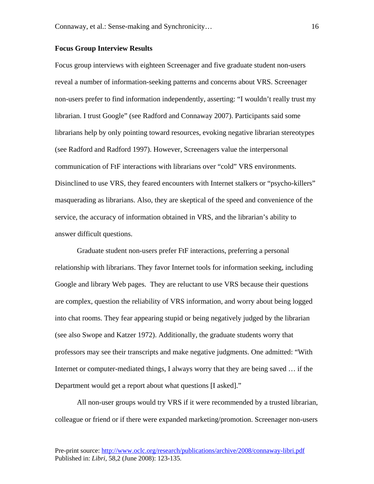#### **Focus Group Interview Results**

Focus group interviews with eighteen Screenager and five graduate student non-users reveal a number of information-seeking patterns and concerns about VRS. Screenager non-users prefer to find information independently, asserting: "I wouldn't really trust my librarian. I trust Google" (see Radford and Connaway 2007). Participants said some librarians help by only pointing toward resources, evoking negative librarian stereotypes (see Radford and Radford 1997). However, Screenagers value the interpersonal communication of FtF interactions with librarians over "cold" VRS environments. Disinclined to use VRS, they feared encounters with Internet stalkers or "psycho-killers" masquerading as librarians. Also, they are skeptical of the speed and convenience of the service, the accuracy of information obtained in VRS, and the librarian's ability to answer difficult questions.

Graduate student non-users prefer FtF interactions, preferring a personal relationship with librarians. They favor Internet tools for information seeking, including Google and library Web pages. They are reluctant to use VRS because their questions are complex, question the reliability of VRS information, and worry about being logged into chat rooms. They fear appearing stupid or being negatively judged by the librarian (see also Swope and Katzer 1972). Additionally, the graduate students worry that professors may see their transcripts and make negative judgments. One admitted: "With Internet or computer-mediated things, I always worry that they are being saved … if the Department would get a report about what questions [I asked]."

All non-user groups would try VRS if it were recommended by a trusted librarian, colleague or friend or if there were expanded marketing/promotion. Screenager non-users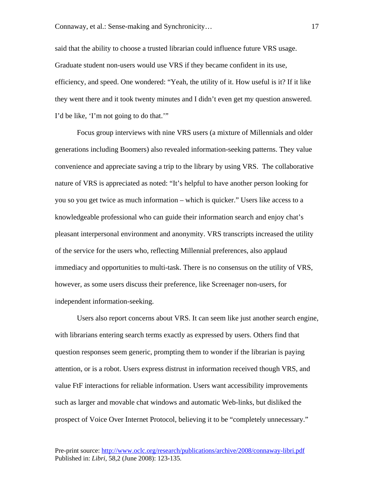said that the ability to choose a trusted librarian could influence future VRS usage. Graduate student non-users would use VRS if they became confident in its use, efficiency, and speed. One wondered: "Yeah, the utility of it. How useful is it? If it like they went there and it took twenty minutes and I didn't even get my question answered. I'd be like, 'I'm not going to do that.'"

 Focus group interviews with nine VRS users (a mixture of Millennials and older generations including Boomers) also revealed information-seeking patterns. They value convenience and appreciate saving a trip to the library by using VRS. The collaborative nature of VRS is appreciated as noted: "It's helpful to have another person looking for you so you get twice as much information – which is quicker." Users like access to a knowledgeable professional who can guide their information search and enjoy chat's pleasant interpersonal environment and anonymity. VRS transcripts increased the utility of the service for the users who, reflecting Millennial preferences, also applaud immediacy and opportunities to multi-task. There is no consensus on the utility of VRS, however, as some users discuss their preference, like Screenager non-users, for independent information-seeking.

 Users also report concerns about VRS. It can seem like just another search engine, with librarians entering search terms exactly as expressed by users. Others find that question responses seem generic, prompting them to wonder if the librarian is paying attention, or is a robot. Users express distrust in information received though VRS, and value FtF interactions for reliable information. Users want accessibility improvements such as larger and movable chat windows and automatic Web-links, but disliked the prospect of Voice Over Internet Protocol, believing it to be "completely unnecessary."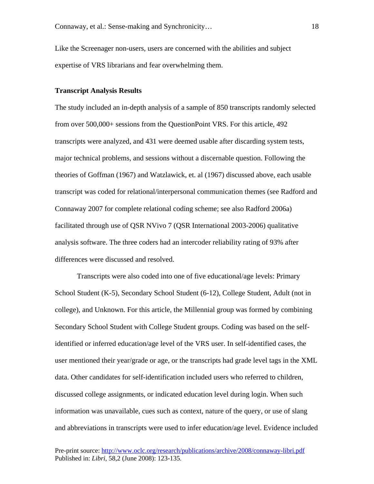Like the Screenager non-users, users are concerned with the abilities and subject expertise of VRS librarians and fear overwhelming them.

## **Transcript Analysis Results**

The study included an in-depth analysis of a sample of 850 transcripts randomly selected from over 500,000+ sessions from the QuestionPoint VRS. For this article, 492 transcripts were analyzed, and 431 were deemed usable after discarding system tests, major technical problems, and sessions without a discernable question. Following the theories of Goffman (1967) and Watzlawick, et. al (1967) discussed above, each usable transcript was coded for relational/interpersonal communication themes (see Radford and Connaway 2007 for complete relational coding scheme; see also Radford 2006a) facilitated through use of QSR NVivo 7 (QSR International 2003-2006) qualitative analysis software. The three coders had an intercoder reliability rating of 93% after differences were discussed and resolved.

 Transcripts were also coded into one of five educational/age levels: Primary School Student (K-5), Secondary School Student (6-12), College Student, Adult (not in college), and Unknown. For this article, the Millennial group was formed by combining Secondary School Student with College Student groups. Coding was based on the selfidentified or inferred education/age level of the VRS user. In self-identified cases, the user mentioned their year/grade or age, or the transcripts had grade level tags in the XML data. Other candidates for self-identification included users who referred to children, discussed college assignments, or indicated education level during login. When such information was unavailable, cues such as context, nature of the query, or use of slang and abbreviations in transcripts were used to infer education/age level. Evidence included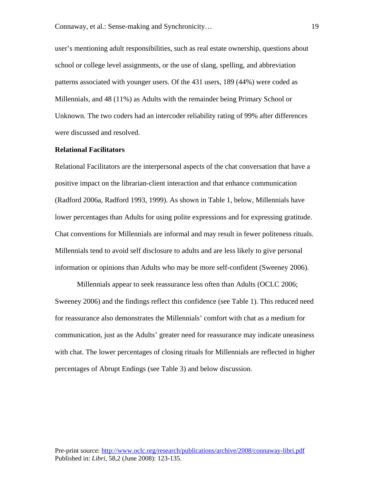user's mentioning adult responsibilities, such as real estate ownership, questions about school or college level assignments, or the use of slang, spelling, and abbreviation patterns associated with younger users. Of the 431 users, 189 (44%) were coded as Millennials, and 48 (11%) as Adults with the remainder being Primary School or Unknown. The two coders had an intercoder reliability rating of 99% after differences were discussed and resolved.

#### **Relational Facilitators**

Relational Facilitators are the interpersonal aspects of the chat conversation that have a positive impact on the librarian-client interaction and that enhance communication (Radford 2006a, Radford 1993, 1999). As shown in Table 1, below, Millennials have lower percentages than Adults for using polite expressions and for expressing gratitude. Chat conventions for Millennials are informal and may result in fewer politeness rituals. Millennials tend to avoid self disclosure to adults and are less likely to give personal information or opinions than Adults who may be more self-confident (Sweeney 2006).

Millennials appear to seek reassurance less often than Adults (OCLC 2006; Sweeney 2006) and the findings reflect this confidence (see Table 1). This reduced need for reassurance also demonstrates the Millennials' comfort with chat as a medium for communication, just as the Adults' greater need for reassurance may indicate uneasiness with chat. The lower percentages of closing rituals for Millennials are reflected in higher percentages of Abrupt Endings (see Table 3) and below discussion.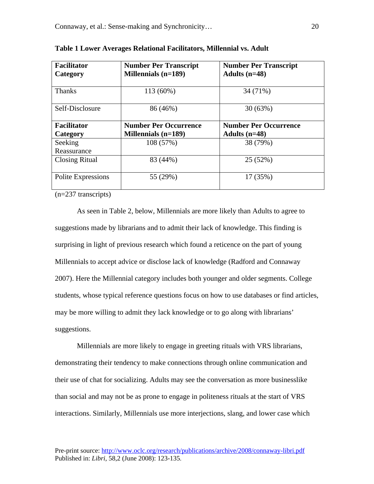| <b>Facilitator</b><br>Category | <b>Number Per Transcript</b><br>Millennials (n=189) | <b>Number Per Transcript</b><br>Adults $(n=48)$ |
|--------------------------------|-----------------------------------------------------|-------------------------------------------------|
|                                |                                                     |                                                 |
| <b>Thanks</b>                  | 113 (60%)                                           | 34 (71%)                                        |
|                                |                                                     |                                                 |
| Self-Disclosure                | 86 (46%)                                            | 30(63%)                                         |
|                                |                                                     |                                                 |
| <b>Facilitator</b>             | <b>Number Per Occurrence</b>                        | <b>Number Per Occurrence</b>                    |
| Category                       | Millennials $(n=189)$                               | Adults $(n=48)$                                 |
| Seeking                        | 108 (57%)                                           | 38 (79%)                                        |
| Reassurance                    |                                                     |                                                 |
| <b>Closing Ritual</b>          | 83 (44%)                                            | 25 (52%)                                        |
|                                |                                                     |                                                 |
| Polite Expressions             | 55 (29%)                                            | 17 (35%)                                        |
|                                |                                                     |                                                 |

|  |  | Table 1 Lower Averages Relational Facilitators, Millennial vs. Adult |  |
|--|--|----------------------------------------------------------------------|--|
|  |  |                                                                      |  |

(n=237 transcripts)

As seen in Table 2, below, Millennials are more likely than Adults to agree to suggestions made by librarians and to admit their lack of knowledge. This finding is surprising in light of previous research which found a reticence on the part of young Millennials to accept advice or disclose lack of knowledge (Radford and Connaway 2007). Here the Millennial category includes both younger and older segments. College students, whose typical reference questions focus on how to use databases or find articles, may be more willing to admit they lack knowledge or to go along with librarians' suggestions.

Millennials are more likely to engage in greeting rituals with VRS librarians, demonstrating their tendency to make connections through online communication and their use of chat for socializing. Adults may see the conversation as more businesslike than social and may not be as prone to engage in politeness rituals at the start of VRS interactions. Similarly, Millennials use more interjections, slang, and lower case which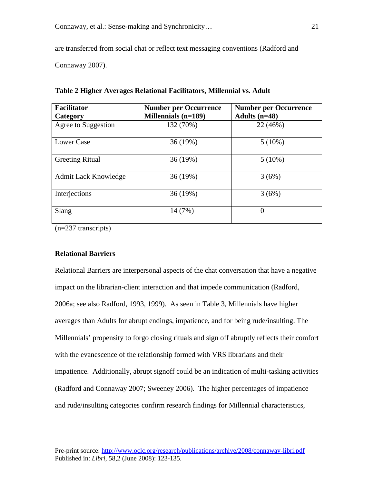are transferred from social chat or reflect text messaging conventions (Radford and

Connaway 2007).

| <b>Facilitator</b><br>Category | <b>Number per Occurrence</b><br><b>Millennials (n=189)</b> | <b>Number per Occurrence</b><br>Adults $(n=48)$ |
|--------------------------------|------------------------------------------------------------|-------------------------------------------------|
| Agree to Suggestion            | 132 (70%)                                                  | 22 (46%)                                        |
| Lower Case                     | 36(19%)                                                    | $5(10\%)$                                       |
| <b>Greeting Ritual</b>         | 36 (19%)                                                   | $5(10\%)$                                       |
| Admit Lack Knowledge           | 36 (19%)                                                   | 3(6%)                                           |
| Interjections                  | 36 (19%)                                                   | 3(6%)                                           |
| Slang                          | 14 (7%)                                                    | $\boldsymbol{0}$                                |

**Table 2 Higher Averages Relational Facilitators, Millennial vs. Adult** 

(n=237 transcripts)

# **Relational Barriers**

Relational Barriers are interpersonal aspects of the chat conversation that have a negative impact on the librarian-client interaction and that impede communication (Radford, 2006a; see also Radford, 1993, 1999). As seen in Table 3, Millennials have higher averages than Adults for abrupt endings, impatience, and for being rude/insulting. The Millennials' propensity to forgo closing rituals and sign off abruptly reflects their comfort with the evanescence of the relationship formed with VRS librarians and their impatience. Additionally, abrupt signoff could be an indication of multi-tasking activities (Radford and Connaway 2007; Sweeney 2006). The higher percentages of impatience and rude/insulting categories confirm research findings for Millennial characteristics,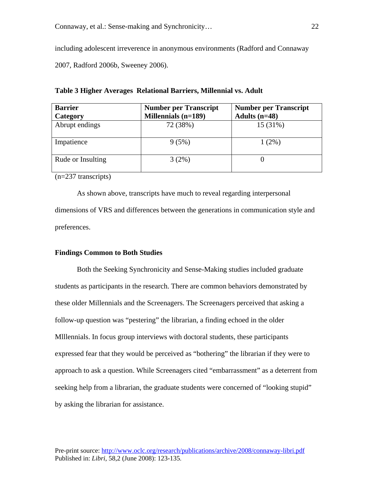including adolescent irreverence in anonymous environments (Radford and Connaway 2007, Radford 2006b, Sweeney 2006).

| <b>Barrier</b><br>Category | <b>Number per Transcript</b><br><b>Millennials (n=189)</b> | <b>Number per Transcript</b><br>Adults $(n=48)$ |
|----------------------------|------------------------------------------------------------|-------------------------------------------------|
| Abrupt endings             | 72 (38%)                                                   | 15 (31%)                                        |
| Impatience                 | 9(5%)                                                      | $1(2\%)$                                        |
| Rude or Insulting          | 3(2%)                                                      |                                                 |

**Table 3 Higher Averages Relational Barriers, Millennial vs. Adult** 

(n=237 transcripts)

As shown above, transcripts have much to reveal regarding interpersonal dimensions of VRS and differences between the generations in communication style and preferences.

## **Findings Common to Both Studies**

Both the Seeking Synchronicity and Sense-Making studies included graduate students as participants in the research. There are common behaviors demonstrated by these older Millennials and the Screenagers. The Screenagers perceived that asking a follow-up question was "pestering" the librarian, a finding echoed in the older Mlllennials. In focus group interviews with doctoral students, these participants expressed fear that they would be perceived as "bothering" the librarian if they were to approach to ask a question. While Screenagers cited "embarrassment" as a deterrent from seeking help from a librarian, the graduate students were concerned of "looking stupid" by asking the librarian for assistance.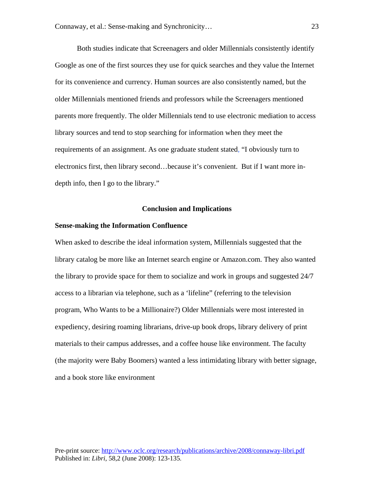Both studies indicate that Screenagers and older Millennials consistently identify Google as one of the first sources they use for quick searches and they value the Internet for its convenience and currency. Human sources are also consistently named, but the older Millennials mentioned friends and professors while the Screenagers mentioned parents more frequently. The older Millennials tend to use electronic mediation to access library sources and tend to stop searching for information when they meet the requirements of an assignment. As one graduate student stated, "I obviously turn to electronics first, then library second…because it's convenient. But if I want more indepth info, then I go to the library."

#### **Conclusion and Implications**

## **Sense-making the Information Confluence**

When asked to describe the ideal information system, Millennials suggested that the library catalog be more like an Internet search engine or Amazon.com. They also wanted the library to provide space for them to socialize and work in groups and suggested 24/7 access to a librarian via telephone, such as a 'lifeline" (referring to the television program, Who Wants to be a Millionaire?) Older Millennials were most interested in expediency, desiring roaming librarians, drive-up book drops, library delivery of print materials to their campus addresses, and a coffee house like environment. The faculty (the majority were Baby Boomers) wanted a less intimidating library with better signage, and a book store like environment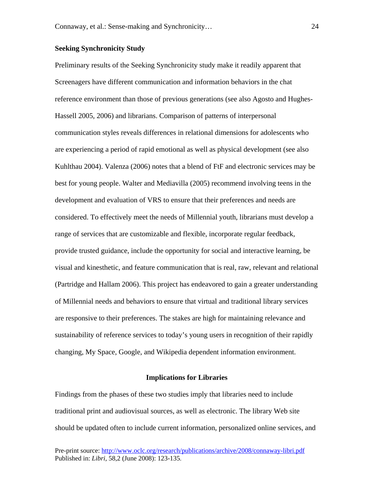## **Seeking Synchronicity Study**

Preliminary results of the Seeking Synchronicity study make it readily apparent that Screenagers have different communication and information behaviors in the chat reference environment than those of previous generations (see also Agosto and Hughes-Hassell 2005, 2006) and librarians. Comparison of patterns of interpersonal communication styles reveals differences in relational dimensions for adolescents who are experiencing a period of rapid emotional as well as physical development (see also Kuhlthau 2004). Valenza (2006) notes that a blend of FtF and electronic services may be best for young people. Walter and Mediavilla (2005) recommend involving teens in the development and evaluation of VRS to ensure that their preferences and needs are considered. To effectively meet the needs of Millennial youth, librarians must develop a range of services that are customizable and flexible, incorporate regular feedback, provide trusted guidance, include the opportunity for social and interactive learning, be visual and kinesthetic, and feature communication that is real, raw, relevant and relational (Partridge and Hallam 2006). This project has endeavored to gain a greater understanding of Millennial needs and behaviors to ensure that virtual and traditional library services are responsive to their preferences. The stakes are high for maintaining relevance and sustainability of reference services to today's young users in recognition of their rapidly changing, My Space, Google, and Wikipedia dependent information environment.

#### **Implications for Libraries**

Findings from the phases of these two studies imply that libraries need to include traditional print and audiovisual sources, as well as electronic. The library Web site should be updated often to include current information, personalized online services, and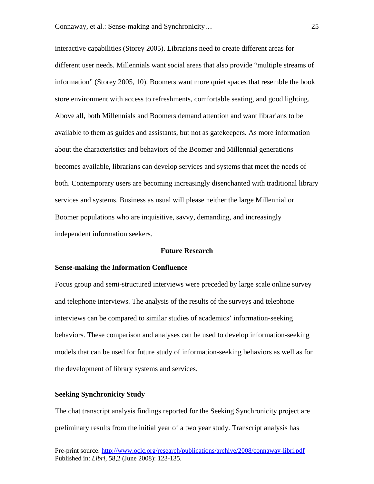interactive capabilities (Storey 2005). Librarians need to create different areas for different user needs. Millennials want social areas that also provide "multiple streams of information" (Storey 2005, 10). Boomers want more quiet spaces that resemble the book store environment with access to refreshments, comfortable seating, and good lighting. Above all, both Millennials and Boomers demand attention and want librarians to be available to them as guides and assistants, but not as gatekeepers. As more information about the characteristics and behaviors of the Boomer and Millennial generations becomes available, librarians can develop services and systems that meet the needs of both. Contemporary users are becoming increasingly disenchanted with traditional library services and systems. Business as usual will please neither the large Millennial or Boomer populations who are inquisitive, savvy, demanding, and increasingly independent information seekers.

#### **Future Research**

#### **Sense-making the Information Confluence**

Focus group and semi-structured interviews were preceded by large scale online survey and telephone interviews. The analysis of the results of the surveys and telephone interviews can be compared to similar studies of academics' information-seeking behaviors. These comparison and analyses can be used to develop information-seeking models that can be used for future study of information-seeking behaviors as well as for the development of library systems and services.

## **Seeking Synchronicity Study**

The chat transcript analysis findings reported for the Seeking Synchronicity project are preliminary results from the initial year of a two year study. Transcript analysis has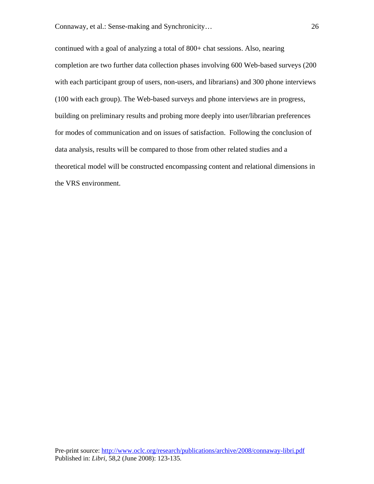continued with a goal of analyzing a total of 800+ chat sessions. Also, nearing completion are two further data collection phases involving 600 Web-based surveys (200 with each participant group of users, non-users, and librarians) and 300 phone interviews (100 with each group). The Web-based surveys and phone interviews are in progress, building on preliminary results and probing more deeply into user/librarian preferences for modes of communication and on issues of satisfaction. Following the conclusion of data analysis, results will be compared to those from other related studies and a theoretical model will be constructed encompassing content and relational dimensions in the VRS environment.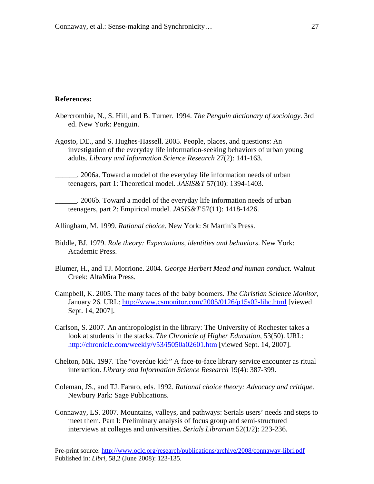## **References:**

- Abercrombie, N., S. Hill, and B. Turner. 1994. *The Penguin dictionary of sociology*. 3rd ed. New York: Penguin.
- Agosto, DE., and S. Hughes-Hassell. 2005. People, places, and questions: An investigation of the everyday life information-seeking behaviors of urban young adults. *Library and Information Science Research* 27(2): 141-163.
	- \_\_\_\_\_\_. 2006a. Toward a model of the everyday life information needs of urban teenagers, part 1: Theoretical model. *JASIS&T* 57(10): 1394-1403.
- \_\_\_\_\_\_. 2006b. Toward a model of the everyday life information needs of urban teenagers, part 2: Empirical model. *JASIS&T* 57(11): 1418-1426.
- Allingham, M. 1999. *Rational choice*. New York: St Martin's Press.
- Biddle, BJ. 1979. *Role theory: Expectations, identities and behaviors*. New York: Academic Press.
- Blumer, H., and TJ. Morrione. 2004. *George Herbert Mead and human conduct*. Walnut Creek: AltaMira Press.
- Campbell, K. 2005. The many faces of the baby boomers. *The Christian Science Monitor*, January 26. URL:<http://www.csmonitor.com/2005/0126/p15s02-lihc.html> [viewed Sept. 14, 2007].
- Carlson, S. 2007. An anthropologist in the library: The University of Rochester takes a look at students in the stacks. *The Chronicle of Higher Education*, 53(50). URL: <http://chronicle.com/weekly/v53/i5050a02601.htm>[viewed Sept. 14, 2007].
- Chelton, MK. 1997. The "overdue kid:" A face-to-face library service encounter as ritual interaction. *Library and Information Science Research* 19(4): 387-399.
- Coleman, JS., and TJ. Fararo, eds. 1992. *Rational choice theory: Advocacy and critique*. Newbury Park: Sage Publications.
- Connaway, LS. 2007. Mountains, valleys, and pathways: Serials users' needs and steps to meet them. Part I: Preliminary analysis of focus group and semi-structured interviews at colleges and universities. *Serials Librarian* 52(1/2): 223-236.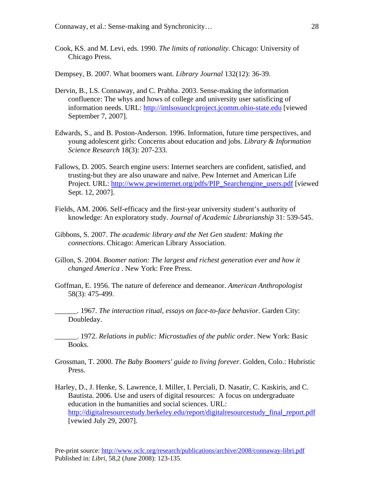- Cook, KS. and M. Levi, eds. 1990. *The limits of rationality*. Chicago: University of Chicago Press.
- Dempsey, B. 2007. What boomers want. *Library Journal* 132(12): 36-39.
- Dervin, B., LS. Connaway, and C. Prabha. 2003. Sense-making the information confluence: The whys and hows of college and university user satisficing of information needs. URL: [http://imlsosuoclcproject.jcomm.ohio-state.edu](http://imlsosuoclcproject.jcomm.ohio-state.edu/) [viewed September 7, 2007].
- Edwards, S., and B. Poston-Anderson. 1996. Information, future time perspectives, and young adolescent girls: Concerns about education and jobs. *Library & Information Science Research* 18(3): 207-233.
- Fallows, D. 2005. Search engine users: Internet searchers are confident, satisfied, and trusting-but they are also unaware and naïve. Pew Internet and American Life Project. URL: [http://www.pewinternet.org/pdfs/PIP\\_Searchengine\\_users.pdf](http://www.pewinternet.org/pdfs/PIP_Searchengine_users.pdf) [viewed Sept. 12, 2007].
- Fields, AM. 2006. Self-efficacy and the first-year university student's authority of knowledge: An exploratory study. *Journal of Academic Librarianship* 31: 539-545.
- Gibbons, S. 2007. *The academic library and the Net Gen student: Making the connections*. Chicago: American Library Association.
- Gillon, S. 2004. *Boomer nation: The largest and richest generation ever and how it changed America* . New York: Free Press.
- Goffman, E. 1956. The nature of deference and demeanor. *American Anthropologist* 58(3): 475-499.
- \_\_\_\_\_\_. 1967. *The interaction ritual, essays on face-to-face behavior*. Garden City: Doubleday.

\_\_\_\_\_\_. 1972. *Relations in public: Microstudies of the public order*. New York: Basic Books.

- Grossman, T. 2000. *The Baby Boomers' guide to living forever*. Golden, Colo.: Hubristic Press.
- Harley, D., J. Henke, S. Lawrence, I. Miller, I. Perciali, D. Nasatir, C. Kaskiris, and C. Bautista. 2006. Use and users of digital resources: A focus on undergraduate education in the humanities and social sciences. URL: [http://digitalresourcestudy.berkeley.edu/report/digitalresourcestudy\\_final\\_report.pdf](http://digitalresourcestudy.berkeley.edu/report/digitalresourcestudy_final_report.pdf) [vewied July 29, 2007].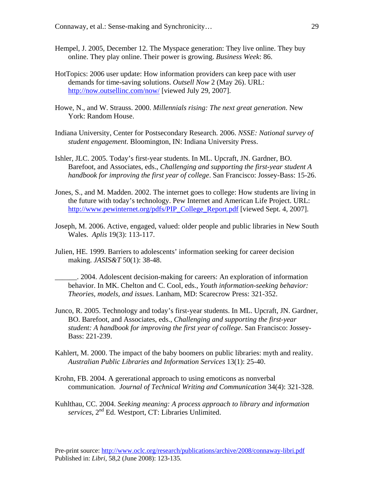- Hempel, J. 2005, December 12. The Myspace generation: They live online. They buy online. They play online. Their power is growing. *Business Week*: 86.
- HotTopics: 2006 user update: How information providers can keep pace with user demands for time-saving solutions. *Outsell Now* 2 (May 26). URL: <http://now.outsellinc.com/now/>[viewed July 29, 2007].
- Howe, N., and W. Strauss. 2000. *Millennials rising: The next great generation*. New York: Random House.
- Indiana University, Center for Postsecondary Research. 2006. *NSSE: National survey of student engagement*. Bloomington, IN: Indiana University Press.
- Ishler, JLC. 2005. Today's first-year students. In ML. Upcraft, JN. Gardner, BO. Barefoot, and Associates, eds., *Challenging and supporting the first-year student A handbook for improving the first year of college*. San Francisco: Jossey-Bass: 15-26.
- Jones, S., and M. Madden. 2002. The internet goes to college: How students are living in the future with today's technology. Pew Internet and American Life Project. URL: [http://www.pewinternet.org/pdfs/PIP\\_College\\_Report.pdf](http://www.pewinternet.org/pdfs/PIP_College_Report.pdf) [viewed Sept. 4, 2007].
- Joseph, M. 2006. Active, engaged, valued: older people and public libraries in New South Wales. *Aplis* 19(3): 113-117.
- Julien, HE. 1999. Barriers to adolescents' information seeking for career decision making. *JASIS&T* 50(1): 38-48.
	- \_\_\_\_\_\_. 2004. Adolescent decision-making for careers: An exploration of information behavior. In MK. Chelton and C. Cool, eds., *Youth information-seeking behavior: Theories, models, and issues*. Lanham, MD: Scarecrow Press: 321-352.
- Junco, R. 2005. Technology and today's first-year students. In ML. Upcraft, JN. Gardner, BO. Barefoot, and Associates, eds., *Challenging and supporting the first-year student: A handbook for improving the first year of college*. San Francisco: Jossey-Bass: 221-239.
- Kahlert, M. 2000. The impact of the baby boomers on public libraries: myth and reality. *Australian Public Libraries and Information Services* 13(1): 25-40.
- Krohn, FB. 2004. A gererational approach to using emoticons as nonverbal communication. *Journal of Technical Writing and Communication* 34(4): 321-328.
- Kuhlthau, CC. 2004. *Seeking meaning: A process approach to library and information services*, 2nd Ed. Westport, CT: Libraries Unlimited.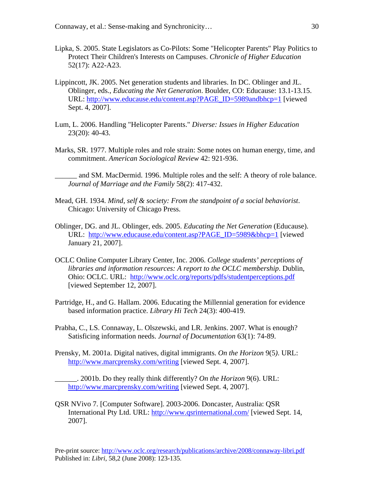- Lipka, S. 2005. State Legislators as Co-Pilots: Some "Helicopter Parents" Play Politics to Protect Their Children's Interests on Campuses. *Chronicle of Higher Education* 52(17): A22-A23.
- Lippincott, JK. 2005. Net generation students and libraries. In DC. Oblinger and JL. Oblinger, eds., *Educating the Net Generation*. Boulder, CO: Educause: 13.1-13.15. URL: [http://www.educause.edu/content.asp?PAGE\\_ID=5989andbhcp=1](http://www.educause.edu/content.asp?PAGE_ID=5989&bhcp=1) [viewed Sept. 4, 2007].
- Lum, L. 2006. Handling "Helicopter Parents." *Diverse: Issues in Higher Education* 23(20): 40-43.
- Marks, SR. 1977. Multiple roles and role strain: Some notes on human energy, time, and commitment. *American Sociological Review* 42: 921-936.
	- and SM. MacDermid. 1996. Multiple roles and the self: A theory of role balance. *Journal of Marriage and the Family* 58(2): 417-432.
- Mead, GH. 1934. *Mind, self & society: From the standpoint of a social behaviorist*. Chicago: University of Chicago Press.
- Oblinger, DG. and JL. Oblinger, eds. 2005. *Educating the Net Generation* (Educause). URL: [http://www.educause.edu/content.asp?PAGE\\_ID=5989&bhcp=1](http://www.educause.edu/content.asp?PAGE_ID=5989&bhcp=1) [viewed January 21, 2007].
- OCLC Online Computer Library Center, Inc. 2006. *College students' perceptions of libraries and information resources: A report to the OCLC membership*. Dublin, Ohio: OCLC. URL: <http://www.oclc.org/reports/pdfs/studentperceptions.pdf> [viewed September 12, 2007].
- Partridge, H., and G. Hallam. 2006. Educating the Millennial generation for evidence based information practice. *Library Hi Tech* 24(3): 400-419.
- Prabha, C., LS. Connaway, L. Olszewski, and LR. Jenkins. 2007. What is enough? Satisficing information needs. *Journal of Documentation* 63(1): 74-89.
- Prensky, M. 2001a. Digital natives, digital immigrants. *On the Horizon* 9(5*)*. URL: <http://www.marcprensky.com/writing>[viewed Sept. 4, 2007].
	- \_\_\_\_\_\_. 2001b. Do they really think differently? *On the Horizon* 9(6). URL: <http://www.marcprensky.com/writing>[viewed Sept. 4, 2007].
- QSR NVivo 7. [Computer Software]. 2003-2006. Doncaster, Australia: QSR International Pty Ltd. URL: <http://www.qsrinternational.com/>[viewed Sept. 14, 2007].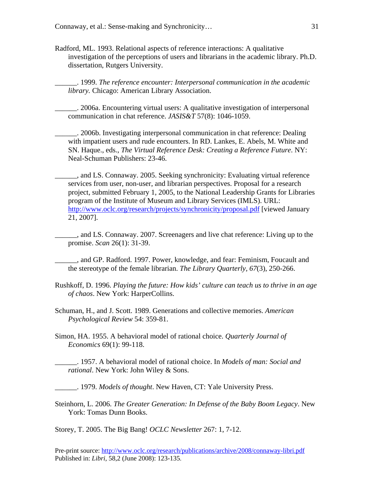Radford, ML. 1993. Relational aspects of reference interactions: A qualitative investigation of the perceptions of users and librarians in the academic library. Ph.D. dissertation, Rutgers University.

\_\_\_\_\_\_. 1999. *The reference encounter: Interpersonal communication in the academic library.* Chicago: American Library Association.

\_\_\_\_\_\_. 2006a. Encountering virtual users: A qualitative investigation of interpersonal communication in chat reference. *JASIS&T* 57(8): 1046-1059.

\_\_\_\_\_\_. 2006b. Investigating interpersonal communication in chat reference: Dealing with impatient users and rude encounters. In RD. Lankes, E. Abels, M. White and SN. Haque., eds., *The Virtual Reference Desk: Creating a Reference Future*. NY: Neal-Schuman Publishers: 23-46.

\_\_\_\_\_\_, and LS. Connaway. 2005. Seeking synchronicity: Evaluating virtual reference services from user, non-user, and librarian perspectives. Proposal for a research project, submitted February 1, 2005, to the National Leadership Grants for Libraries program of the Institute of Museum and Library Services (IMLS). URL: <http://www.oclc.org/research/projects/synchronicity/proposal.pdf> [viewed January 21, 2007].

 $\_\_\_\_\$ nd LS. Connaway. 2007. Screenagers and live chat reference: Living up to the promise. *Scan* 26(1): 31-39.

\_\_\_\_\_\_, and GP. Radford. 1997. Power, knowledge, and fear: Feminism, Foucault and the stereotype of the female librarian. *The Library Quarterly, 67*(3), 250-266.

- Rushkoff, D. 1996. *Playing the future: How kids' culture can teach us to thrive in an age of chaos*. New York: HarperCollins.
- Schuman, H., and J. Scott. 1989. Generations and collective memories. *American Psychological Review* 54: 359-81.

Simon, HA. 1955. A behavioral model of rational choice. *Quarterly Journal of Economics* 69(1): 99-118.

\_\_\_\_\_\_. 1957. A behavioral model of rational choice. In *Models of man: Social and rational*. New York: John Wiley & Sons.

\_\_\_\_\_\_. 1979. *Models of thought*. New Haven, CT: Yale University Press.

Steinhorn, L. 2006. *The Greater Generation: In Defense of the Baby Boom Legacy*. New York: Tomas Dunn Books.

Storey, T. 2005. The Big Bang! *OCLC Newsletter* 267: 1, 7-12.